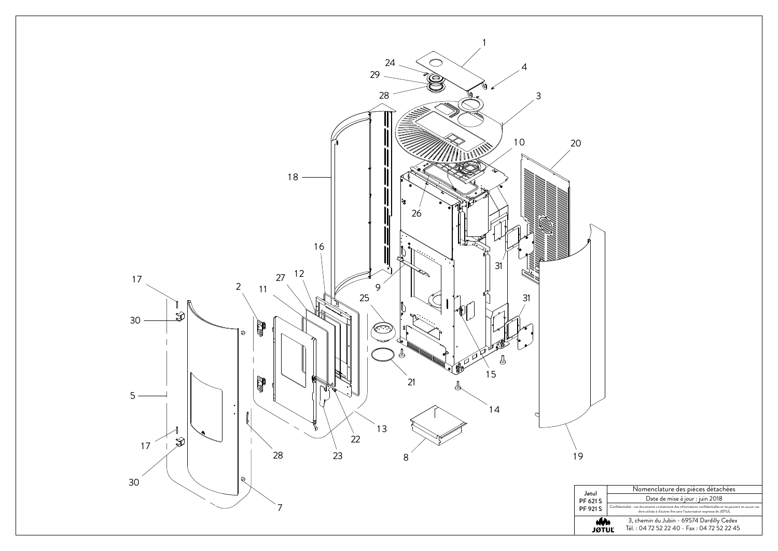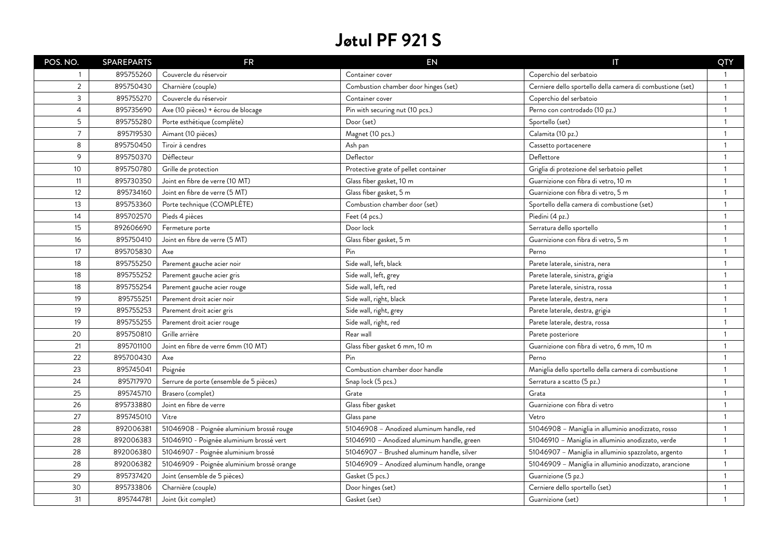| POS. NO.       | <b>SPAREPARTS</b> | <b>FR</b>                                  | EN                                          | $\mathsf T$                                                | QTY                     |
|----------------|-------------------|--------------------------------------------|---------------------------------------------|------------------------------------------------------------|-------------------------|
| 1              | 895755260         | Couvercle du réservoir                     | Container cover                             | Coperchio del serbatoio                                    | - 1                     |
| $\overline{2}$ | 895750430         | Charnière (couple)                         | Combustion chamber door hinges (set)        | Cerniere dello sportello della camera di combustione (set) | $\overline{\mathbf{1}}$ |
| 3              | 895755270         | Couvercle du réservoir                     | Container cover                             | Coperchio del serbatoio                                    | $\overline{\mathbf{1}}$ |
| $\overline{4}$ | 895735690         | Axe (10 pièces) + écrou de blocage         | Pin with securing nut (10 pcs.)             | Perno con controdado (10 pz.)                              | $\overline{1}$          |
| 5              | 895755280         | Porte esthétique (complète)                | Door (set)                                  | Sportello (set)                                            | $\overline{1}$          |
| $\overline{7}$ | 895719530         | Aimant (10 pièces)                         | Magnet (10 pcs.)                            | Calamita (10 pz.)                                          | -1                      |
| 8              | 895750450         | Tiroir à cendres                           | Ash pan                                     | Cassetto portacenere                                       | -1                      |
| 9              | 895750370         | Déflecteur                                 | Deflector                                   | Deflettore                                                 | $\overline{1}$          |
| 10             | 895750780         | Grille de protection                       | Protective grate of pellet container        | Griglia di protezione del serbatoio pellet                 | $\overline{1}$          |
| 11             | 895730350         | Joint en fibre de verre (10 MT)            | Glass fiber gasket, 10 m                    | Guarnizione con fibra di vetro, 10 m                       | $\overline{1}$          |
| 12             | 895734160         | Joint en fibre de verre (5 MT)             | Glass fiber gasket, 5 m                     | Guarnizione con fibra di vetro, 5 m                        | $\overline{1}$          |
| 13             | 895753360         | Porte technique (COMPLÈTE)                 | Combustion chamber door (set)               | Sportello della camera di combustione (set)                | $\overline{1}$          |
| 14             | 895702570         | Pieds 4 pièces                             | Feet (4 pcs.)                               | Piedini (4 pz.)                                            | $\overline{1}$          |
| 15             | 892606690         | Fermeture porte                            | Door lock                                   | Serratura dello sportello                                  | $\overline{1}$          |
| 16             | 895750410         | Joint en fibre de verre (5 MT)             | Glass fiber gasket, 5 m                     | Guarnizione con fibra di vetro, 5 m                        | $\overline{1}$          |
| 17             | 895705830         | Axe                                        | Pin                                         | Perno                                                      | $\overline{1}$          |
| 18             | 895755250         | Parement gauche acier noir                 | Side wall, left, black                      | Parete laterale, sinistra, nera                            | $\overline{1}$          |
| 18             | 895755252         | Parement gauche acier gris                 | Side wall, left, grey                       | Parete laterale, sinistra, grigia                          | -1                      |
| 18             | 895755254         | Parement gauche acier rouge                | Side wall, left, red                        | Parete laterale, sinistra, rossa                           | $\overline{1}$          |
| 19             | 895755251         | Parement droit acier noir                  | Side wall, right, black                     | Parete laterale, destra, nera                              | $\overline{1}$          |
| 19             | 895755253         | Parement droit acier gris                  | Side wall, right, grey                      | Parete laterale, destra, grigia                            | $\overline{1}$          |
| 19             | 895755255         | Parement droit acier rouge                 | Side wall, right, red                       | Parete laterale, destra, rossa                             | $\mathbf{1}$            |
| 20             | 895750810         | Grille arrière                             | Rear wall                                   | Parete posteriore                                          | $\mathbf{1}$            |
| 21             | 895701100         | Joint en fibre de verre 6mm (10 MT)        | Glass fiber gasket 6 mm, 10 m               | Guarnizione con fibra di vetro, 6 mm, 10 m                 | $\mathbf{1}$            |
| 22             | 895700430         | Axe                                        | Pin                                         | Perno                                                      | $\overline{1}$          |
| 23             | 895745041         | Poignée                                    | Combustion chamber door handle              | Maniglia dello sportello della camera di combustione       | $\mathbf{1}$            |
| 24             | 895717970         | Serrure de porte (ensemble de 5 pièces)    | Snap lock (5 pcs.)                          | Serratura a scatto (5 pz.)                                 | -1                      |
| 25             | 895745710         | Brasero (complet)                          | Grate                                       | Grata                                                      | $\mathbf{1}$            |
| 26             | 895733880         | Joint en fibre de verre                    | Glass fiber gasket                          | Guarnizione con fibra di vetro                             | $\mathbf{1}$            |
| 27             | 895745010         | Vitre                                      | Glass pane                                  | Vetro                                                      | $\mathbf{1}$            |
| 28             | 892006381         | 51046908 - Poignée aluminium brossé rouge  | 51046908 - Anodized aluminum handle, red    | 51046908 - Maniglia in alluminio anodizzato, rosso         | -1                      |
| 28             | 892006383         | 51046910 - Poignée aluminium brossé vert   | 51046910 - Anodized aluminum handle, green  | 51046910 - Maniglia in alluminio anodizzato, verde         | $\mathbf{1}$            |
| 28             | 892006380         | 51046907 - Poignée aluminium brossé        | 51046907 - Brushed aluminum handle, silver  | 51046907 - Maniglia in alluminio spazzolato, argento       | $\overline{1}$          |
| 28             | 892006382         | 51046909 - Poignée aluminium brossé orange | 51046909 - Anodized aluminum handle, orange | 51046909 - Maniglia in alluminio anodizzato, arancione     | $\mathbf{1}$            |
| 29             | 895737420         | Joint (ensemble de 5 pièces)               | Gasket (5 pcs.)                             | Guarnizione (5 pz.)                                        | $\overline{1}$          |
| 30             | 895733806         | Charnière (couple)                         | Door hinges (set)                           | Cerniere dello sportello (set)                             | $\overline{1}$          |
| 31             | 895744781         | Joint (kit complet)                        | Gasket (set)                                | Guarnizione (set)                                          | $\overline{1}$          |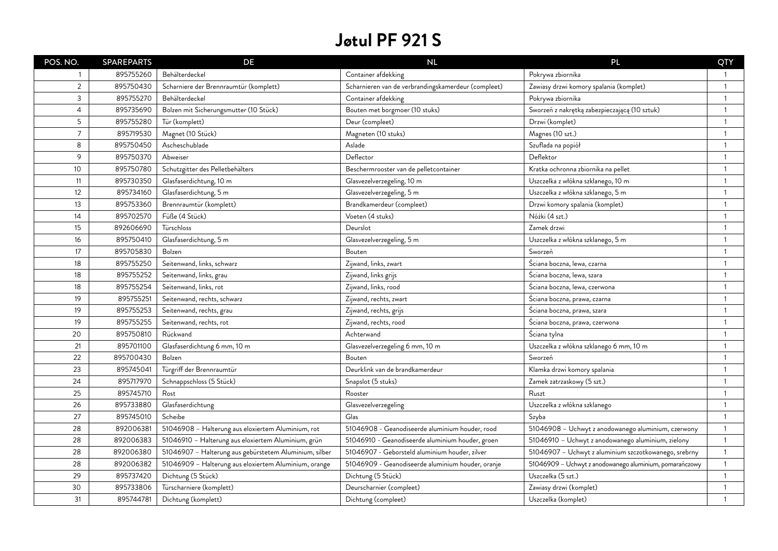| POS. NO.       | <b>SPAREPARTS</b> | DE                                                     | NL                                                  | PL                                                      | QTY                      |
|----------------|-------------------|--------------------------------------------------------|-----------------------------------------------------|---------------------------------------------------------|--------------------------|
| 1              | 895755260         | Behälterdeckel                                         | Container afdekking                                 | Pokrywa zbiornika                                       |                          |
| $\overline{2}$ | 895750430         | Scharniere der Brennraumtür (komplett)                 | Scharnieren van de verbrandingskamerdeur (compleet) | Zawiasy drzwi komory spalania (komplet)                 | $\overline{1}$           |
| 3              | 895755270         | Behälterdeckel                                         | Container afdekking                                 | Pokrywa zbiornika                                       | $\overline{\mathbf{1}}$  |
| $\overline{4}$ | 895735690         | Bolzen mit Sicherungsmutter (10 Stück)                 | Bouten met borgmoer (10 stuks)                      | Sworzeń z nakrętką zabezpieczającą (10 sztuk)           | $\overline{\phantom{a}}$ |
| 5              | 895755280         | Tür (komplett)                                         | Deur (compleet)                                     | Drzwi (komplet)                                         | -1                       |
| $\overline{7}$ | 895719530         | Magnet (10 Stück)                                      | Magneten (10 stuks)                                 | Magnes (10 szt.)                                        | -1                       |
| 8              | 895750450         | Ascheschublade                                         | Aslade                                              | Szuflada na popiół                                      | -1                       |
| 9              | 895750370         | Abweiser                                               | Deflector                                           | Deflektor                                               | -1                       |
| 10             | 895750780         | Schutzgitter des Pelletbehälters                       | Beschermrooster van de pelletcontainer              | Kratka ochronna zbiornika na pellet                     | $\overline{1}$           |
| 11             | 895730350         | Glasfaserdichtung, 10 m                                | Glasvezelverzegeling, 10 m                          | Uszczelka z włókna szklanego, 10 m                      | $\overline{1}$           |
| 12             | 895734160         | Glasfaserdichtung, 5 m                                 | Glasvezelverzegeling, 5 m                           | Uszczelka z włókna szklanego, 5 m                       | $\overline{1}$           |
| 13             | 895753360         | Brennraumtür (komplett)                                | Brandkamerdeur (compleet)                           | Drzwi komory spalania (komplet)                         | $\overline{1}$           |
| 14             | 895702570         | Füße (4 Stück)                                         | Voeten (4 stuks)                                    | Nóżki (4 szt.)                                          | $\overline{1}$           |
| 15             | 892606690         | Türschloss                                             | Deurslot                                            | Zamek drzwi                                             | $\overline{1}$           |
| 16             | 895750410         | Glasfaserdichtung, 5 m                                 | Glasvezelverzegeling, 5 m                           | Uszczelka z włókna szklanego, 5 m                       | $\overline{1}$           |
| 17             | 895705830         | Bolzen                                                 | Bouten                                              | Sworzeń                                                 | $\overline{1}$           |
| 18             | 895755250         | Seitenwand, links, schwarz                             | Zijwand, links, zwart                               | Ściana boczna, lewa, czarna                             | $\overline{1}$           |
| 18             | 895755252         | Seitenwand, links, grau                                | Zijwand, links grijs                                | Ściana boczna, lewa, szara                              | $\overline{1}$           |
| 18             | 895755254         | Seitenwand, links, rot                                 | Zijwand, links, rood                                | Ściana boczna, lewa, czerwona                           | $\overline{1}$           |
| 19             | 895755251         | Seitenwand, rechts, schwarz                            | Zijwand, rechts, zwart                              | Ściana boczna, prawa, czarna                            | $\overline{1}$           |
| 19             | 895755253         | Seitenwand, rechts, grau                               | Zijwand, rechts, grijs                              | Ściana boczna, prawa, szara                             | $\overline{1}$           |
| 19             | 895755255         | Seitenwand, rechts, rot                                | Zijwand, rechts, rood                               | Sciana boczna, prawa, czerwona                          | -1                       |
| 20             | 895750810         | Rückwand                                               | Achterwand                                          | Ściana tylna                                            |                          |
| 21             | 895701100         | Glasfaserdichtung 6 mm, 10 m                           | Glasvezelverzegeling 6 mm, 10 m                     | Uszczelka z włókna szklanego 6 mm, 10 m                 | $\mathbf{1}$             |
| 22             | 895700430         | Bolzen                                                 | Bouten                                              | Sworzeń                                                 | -1                       |
| 23             | 895745041         | Türgriff der Brennraumtür                              | Deurklink van de brandkamerdeur                     | Klamka drzwi komory spalania                            | $\mathbf{1}$             |
| 24             | 895717970         | Schnappschloss (5 Stück)                               | Snapslot (5 stuks)                                  | Zamek zatrzaskowy (5 szt.)                              | $\mathbf{1}$             |
| 25             | 895745710         | Rost                                                   | Rooster                                             | Ruszt                                                   | -1                       |
| 26             | 895733880         | Glasfaserdichtung                                      | Glasvezelverzegeling                                | Uszczelka z włókna szklanego                            | $\overline{1}$           |
| 27             | 895745010         | Scheibe                                                | Glas                                                | Szyba                                                   | $\overline{1}$           |
| 28             | 892006381         | 51046908 - Halterung aus eloxiertem Aluminium, rot     | 51046908 - Geanodiseerde aluminium houder, rood     | 51046908 - Uchwyt z anodowanego aluminium, czerwony     | $\overline{1}$           |
| 28             | 892006383         | 51046910 - Halterung aus eloxiertem Aluminium, grün    | 51046910 - Geanodiseerde aluminium houder, groen    | 51046910 - Uchwyt z anodowanego aluminium, zielony      | $\overline{1}$           |
| 28             | 892006380         | 51046907 - Halterung aus gebürstetem Aluminium, silber | 51046907 - Geborsteld aluminium houder, zilver      | 51046907 - Uchwyt z aluminium szczotkowanego, srebrny   | $\overline{1}$           |
| 28             | 892006382         | 51046909 - Halterung aus eloxiertem Aluminium, orange  | 51046909 - Geanodiseerde aluminium houder, oranje   | 51046909 - Uchwyt z anodowanego aluminium, pomarańczowy | $\overline{1}$           |
| 29             | 895737420         | Dichtung (5 Stück)                                     | Dichtung (5 Stück)                                  | Uszczelka (5 szt.)                                      | $\overline{1}$           |
| 30             | 895733806         | Türscharniere (komplett)                               | Deurscharnier (compleet)                            | Zawiasy drzwi (komplet)                                 | $\overline{1}$           |
| 31             | 895744781         | Dichtung (komplett)                                    | Dichtung (compleet)                                 | Uszczelka (komplet)                                     | $\mathbf{1}$             |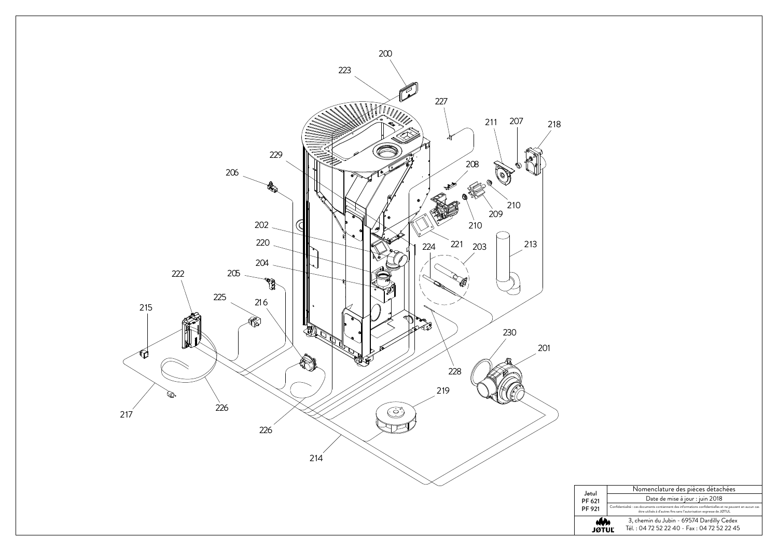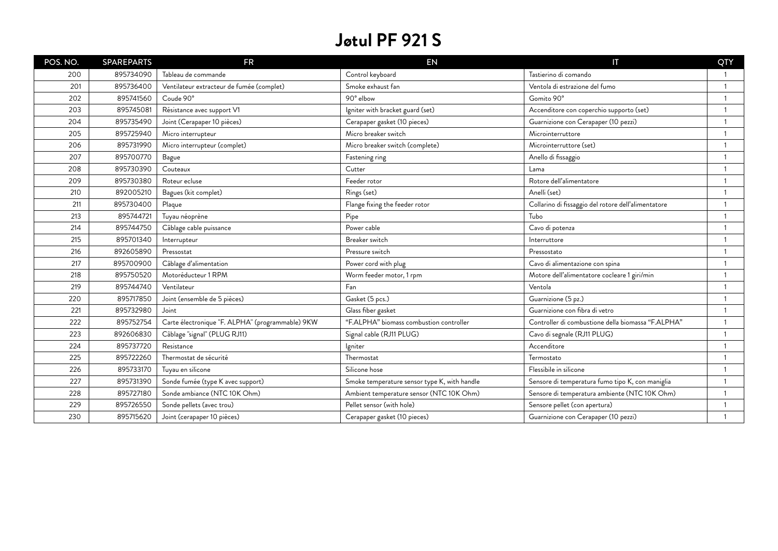| POS. NO. | <b>SPAREPARTS</b> | <b>FR</b>                                        | <b>EN</b>                                    | IT                                                  | QTY            |
|----------|-------------------|--------------------------------------------------|----------------------------------------------|-----------------------------------------------------|----------------|
| 200      | 895734090         | Tableau de commande                              | Control keyboard                             | Tastierino di comando                               |                |
| 201      | 895736400         | Ventilateur extracteur de fumée (complet)        | Smoke exhaust fan                            | Ventola di estrazione del fumo                      | $\overline{1}$ |
| 202      | 895741560         | Coude 90°                                        | 90° elbow                                    | Gomito 90°                                          | $\overline{1}$ |
| 203      | 895745081         | Résistance avec support V1                       | Igniter with bracket guard (set)             | Accenditore con coperchio supporto (set)            |                |
| 204      | 895735490         | Joint (Cerapaper 10 pièces)                      | Cerapaper gasket (10 pieces)                 | Guarnizione con Cerapaper (10 pezzi)                |                |
| 205      | 895725940         | Micro interrupteur                               | Micro breaker switch                         | Microinterruttore                                   |                |
| 206      | 895731990         | Micro interrupteur (complet)                     | Micro breaker switch (complete)              | Microinterruttore (set)                             |                |
| 207      | 895700770         | Bague                                            | Fastening ring                               | Anello di fissaggio                                 |                |
| 208      | 895730390         | Couteaux                                         | Cutter                                       | Lama                                                |                |
| 209      | 895730380         | Roteur ecluse                                    | Feeder rotor                                 | Rotore dell'alimentatore                            |                |
| 210      | 892005210         | Bagues (kit complet)                             | Rings (set)                                  | Anelli (set)                                        |                |
| 211      | 895730400         | Plaque                                           | Flange fixing the feeder rotor               | Collarino di fissaggio del rotore dell'alimentatore |                |
| 213      | 895744721         | Tuyau néoprène                                   | Pipe                                         | Tubo                                                |                |
| 214      | 895744750         | Câblage cable puissance                          | Power cable                                  | Cavo di potenza                                     |                |
| 215      | 895701340         | Interrupteur                                     | Breaker switch                               | Interruttore                                        |                |
| 216      | 892605890         | Pressostat                                       | Pressure switch                              | Pressostato                                         |                |
| 217      | 895700900         | Câblage d'alimentation                           | Power cord with plug                         | Cavo di alimentazione con spina                     |                |
| 218      | 895750520         | Motoréducteur 1 RPM                              | Worm feeder motor, 1 rpm                     | Motore dell'alimentatore cocleare 1 giri/min        |                |
| 219      | 895744740         | Ventilateur                                      | Fan                                          | Ventola                                             |                |
| 220      | 895717850         | Joint (ensemble de 5 pièces)                     | Gasket (5 pcs.)                              | Guarnizione (5 pz.)                                 |                |
| 221      | 895732980         | Joint                                            | Glass fiber gasket                           | Guarnizione con fibra di vetro                      |                |
| 222      | 895752754         | Carte électronique "F. ALPHA" (programmable) 9KW | "F.ALPHA" biomass combustion controller      | Controller di combustione della biomassa "F.ALPHA"  |                |
| 223      | 892606830         | Câblage "signal" (PLUG RJ11)                     | Signal cable (RJ11 PLUG)                     | Cavo di segnale (RJ11 PLUG)                         |                |
| 224      | 895737720         | Resistance                                       | lgniter                                      | Accenditore                                         |                |
| 225      | 895722260         | Thermostat de sécurité                           | Thermostat                                   | Termostato                                          |                |
| 226      | 895733170         | Tuyau en silicone                                | Silicone hose                                | Flessibile in silicone                              |                |
| 227      | 895731390         | Sonde fumée (type K avec support)                | Smoke temperature sensor type K, with handle | Sensore di temperatura fumo tipo K, con maniglia    |                |
| 228      | 895727180         | Sonde ambiance (NTC 10K Ohm)                     | Ambient temperature sensor (NTC 10K Ohm)     | Sensore di temperatura ambiente (NTC 10K Ohm)       |                |
| 229      | 895726550         | Sonde pellets (avec trou)                        | Pellet sensor (with hole)                    | Sensore pellet (con apertura)                       |                |
| 230      | 895715620         | Joint (cerapaper 10 pièces)                      | Cerapaper gasket (10 pieces)                 | Guarnizione con Cerapaper (10 pezzi)                |                |